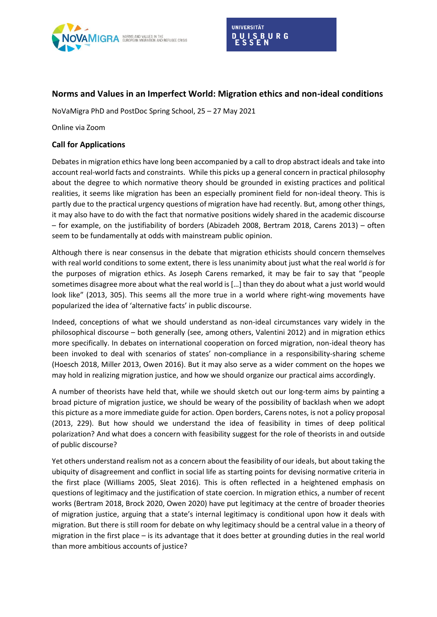

## **Norms and Values in an Imperfect World: Migration ethics and non-ideal conditions**

NoVaMigra PhD and PostDoc Spring School, 25 – 27 May 2021

Online via Zoom

## **Call for Applications**

Debates in migration ethics have long been accompanied by a call to drop abstract ideals and take into account real-world facts and constraints. While this picks up a general concern in practical philosophy about the degree to which normative theory should be grounded in existing practices and political realities, it seems like migration has been an especially prominent field for non-ideal theory. This is partly due to the practical urgency questions of migration have had recently. But, among other things, it may also have to do with the fact that normative positions widely shared in the academic discourse – for example, on the justifiability of borders (Abizadeh 2008, Bertram 2018, Carens 2013) – often seem to be fundamentally at odds with mainstream public opinion.

Although there is near consensus in the debate that migration ethicists should concern themselves with real world conditions to some extent, there is less unanimity about just what the real world *is* for the purposes of migration ethics. As Joseph Carens remarked, it may be fair to say that "people sometimes disagree more about what the real world is […] than they do about what a just world would look like" (2013, 305). This seems all the more true in a world where right-wing movements have popularized the idea of 'alternative facts' in public discourse.

Indeed, conceptions of what we should understand as non-ideal circumstances vary widely in the philosophical discourse – both generally (see, among others, Valentini 2012) and in migration ethics more specifically. In debates on international cooperation on forced migration, non-ideal theory has been invoked to deal with scenarios of states' non-compliance in a responsibility-sharing scheme (Hoesch 2018, Miller 2013, Owen 2016). But it may also serve as a wider comment on the hopes we may hold in realizing migration justice, and how we should organize our practical aims accordingly.

A number of theorists have held that, while we should sketch out our long-term aims by painting a broad picture of migration justice, we should be weary of the possibility of backlash when we adopt this picture as a more immediate guide for action. Open borders, Carens notes, is not a policy proposal (2013, 229). But how should we understand the idea of feasibility in times of deep political polarization? And what does a concern with feasibility suggest for the role of theorists in and outside of public discourse?

Yet others understand realism not as a concern about the feasibility of our ideals, but about taking the ubiquity of disagreement and conflict in social life as starting points for devising normative criteria in the first place (Williams 2005, Sleat 2016). This is often reflected in a heightened emphasis on questions of legitimacy and the justification of state coercion. In migration ethics, a number of recent works (Bertram 2018, Brock 2020, Owen 2020) have put legitimacy at the centre of broader theories of migration justice, arguing that a state's internal legitimacy is conditional upon how it deals with migration. But there is still room for debate on why legitimacy should be a central value in a theory of migration in the first place – is its advantage that it does better at grounding duties in the real world than more ambitious accounts of justice?